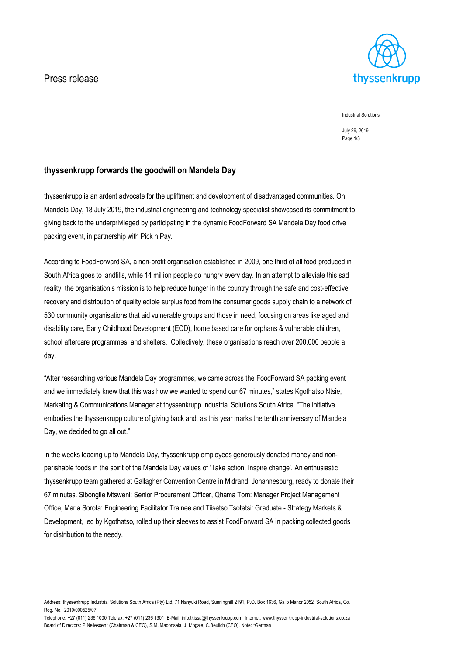## Press release



Industrial Solutions

July 29, 2019 Page 1/3

## **thyssenkrupp forwards the goodwill on Mandela Day**

thyssenkrupp is an ardent advocate for the upliftment and development of disadvantaged communities. On Mandela Day, 18 July 2019, the industrial engineering and technology specialist showcased its commitment to giving back to the underprivileged by participating in the dynamic FoodForward SA Mandela Day food drive packing event, in partnership with Pick n Pay.

According to FoodForward SA, a non-profit organisation established in 2009, one third of all food produced in South Africa goes to landfills, while 14 million people go hungry every day. In an attempt to alleviate this sad reality, the organisation's mission is to help reduce hunger in the country through the safe and cost-effective recovery and distribution of quality edible surplus food from the consumer goods supply chain to a network of 530 community organisations that aid vulnerable groups and those in need, focusing on areas like aged and disability care, Early Childhood Development (ECD), home based care for orphans & vulnerable children, school aftercare programmes, and shelters. Collectively, these organisations reach over 200,000 people a day.

"After researching various Mandela Day programmes, we came across the FoodForward SA packing event and we immediately knew that this was how we wanted to spend our 67 minutes," states Kgothatso Ntsie, Marketing & Communications Manager at thyssenkrupp Industrial Solutions South Africa. "The initiative embodies the thyssenkrupp culture of giving back and, as this year marks the tenth anniversary of Mandela Day, we decided to go all out."

In the weeks leading up to Mandela Day, thyssenkrupp employees generously donated money and nonperishable foods in the spirit of the Mandela Day values of 'Take action, Inspire change'. An enthusiastic thyssenkrupp team gathered at Gallagher Convention Centre in Midrand, Johannesburg, ready to donate their 67 minutes. Sibongile Mtsweni: Senior Procurement Officer, Qhama Tom: Manager Project Management Office, Maria Sorota: Engineering Facilitator Trainee and Tiisetso Tsotetsi: Graduate - Strategy Markets & Development, led by Kgothatso, rolled up their sleeves to assist FoodForward SA in packing collected goods for distribution to the needy.

Telephone: +27 (011) 236 1000 Telefax: +27 (011) 236 1301 E-Mail: info.tkissa@thyssenkrupp.com lnternet: www.thyssenkrupp-industrial-solutions.co.za Board of Directors: P.Nellessen\* (Chairman & CEO), S.M. Madonsela, J. Mogale, C.Beulich (CFO), Note: \*German